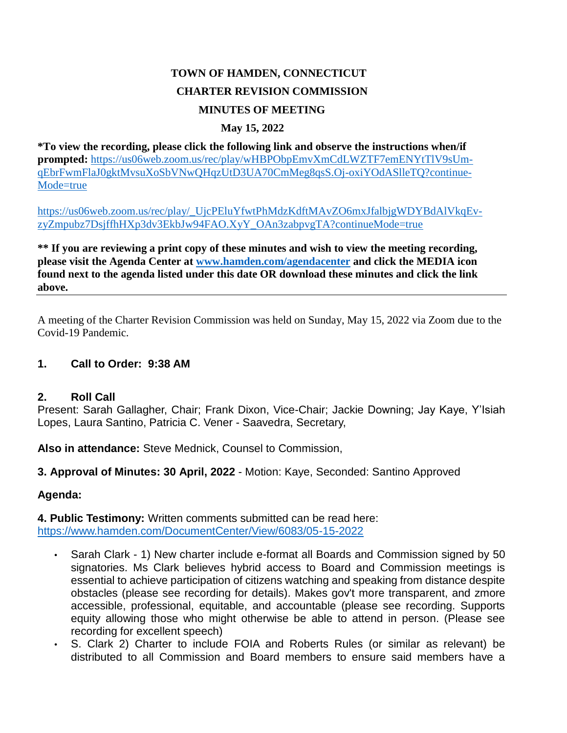# **TOWN OF HAMDEN, CONNECTICUT CHARTER REVISION COMMISSION MINUTES OF MEETING**

### **May 15, 2022**

**\*To view the recording, please click the following link and observe the instructions when/if prompted:** [https://us06web.zoom.us/rec/play/wHBPObpEmvXmCdLWZTF7emENYtTlV9sUm](https://us06web.zoom.us/rec/play/wHBPObpEmvXmCdLWZTF7emENYtTlV9sUmqEbrFwmFlaJ0gktMvsuXoSbVNwQHqzUtD3UA70CmMeg8qsS.Oj-oxiYOdASlleTQ?continueMode=true)[qEbrFwmFlaJ0gktMvsuXoSbVNwQHqzUtD3UA70CmMeg8qsS.Oj-oxiYOdASlleTQ?continue-](https://us06web.zoom.us/rec/play/wHBPObpEmvXmCdLWZTF7emENYtTlV9sUmqEbrFwmFlaJ0gktMvsuXoSbVNwQHqzUtD3UA70CmMeg8qsS.Oj-oxiYOdASlleTQ?continueMode=true)[Mode=true](https://us06web.zoom.us/rec/play/wHBPObpEmvXmCdLWZTF7emENYtTlV9sUmqEbrFwmFlaJ0gktMvsuXoSbVNwQHqzUtD3UA70CmMeg8qsS.Oj-oxiYOdASlleTQ?continueMode=true)

[https://us06web.zoom.us/rec/play/\\_UjcPEluYfwtPhMdzKdftMAvZO6mxJfalbjgWDYBdAlVkqEv](https://us06web.zoom.us/rec/play/_UjcPEluYfwtPhMdzKdftMAvZO6mxJfalbjgWDYBdAlVkqEvzyZmpubz7DsjffhHXp3dv3EkbJw94FAO.XyY_OAn3zabpvgTA?continueMode=true)[zyZmpubz7DsjffhHXp3dv3EkbJw94FAO.XyY\\_OAn3zabpvgTA?continueMode=true](https://us06web.zoom.us/rec/play/_UjcPEluYfwtPhMdzKdftMAvZO6mxJfalbjgWDYBdAlVkqEvzyZmpubz7DsjffhHXp3dv3EkbJw94FAO.XyY_OAn3zabpvgTA?continueMode=true)

**\*\* If you are reviewing a print copy of these minutes and wish to view the meeting recording, please visit the Agenda Center at [www.hamden.com/agendacenter](http://www.hamden.com/agendacenter) and click the MEDIA icon found next to the agenda listed under this date OR download these minutes and click the link above.**

A meeting of the Charter Revision Commission was held on Sunday, May 15, 2022 via Zoom due to the Covid-19 Pandemic.

### **1. Call to Order: 9:38 AM**

#### **2. Roll Call**

Present: Sarah Gallagher, Chair; Frank Dixon, Vice-Chair; Jackie Downing; Jay Kaye, Y'Isiah Lopes, Laura Santino, Patricia C. Vener - Saavedra, Secretary,

**Also in attendance:** Steve Mednick, Counsel to Commission,

**3. Approval of Minutes: 30 April, 2022** - Motion: Kaye, Seconded: Santino Approved

#### **Agenda:**

**4. Public Testimony:** Written comments submitted can be read here: <https://www.hamden.com/DocumentCenter/View/6083/05-15-2022>

- Sarah Clark 1) New charter include e-format all Boards and Commission signed by 50 signatories. Ms Clark believes hybrid access to Board and Commission meetings is essential to achieve participation of citizens watching and speaking from distance despite obstacles (please see recording for details). Makes gov't more transparent, and zmore accessible, professional, equitable, and accountable (please see recording. Supports equity allowing those who might otherwise be able to attend in person. (Please see recording for excellent speech)
- S. Clark 2) Charter to include FOIA and Roberts Rules (or similar as relevant) be distributed to all Commission and Board members to ensure said members have a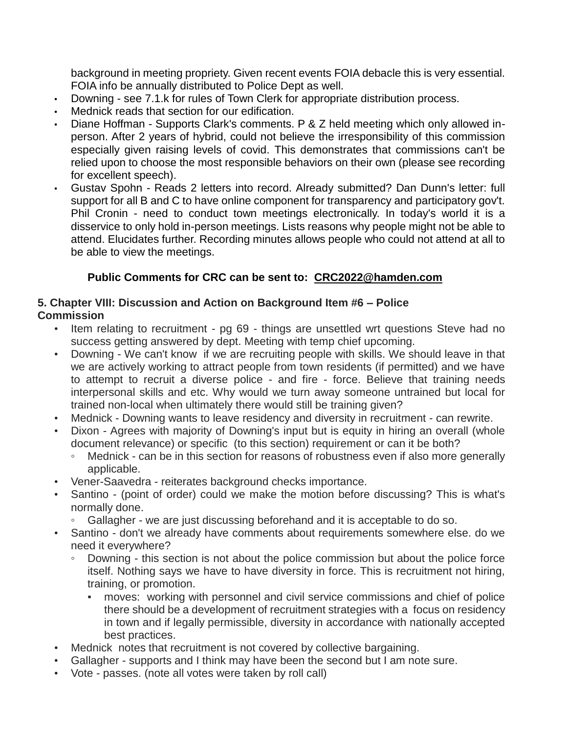background in meeting propriety. Given recent events FOIA debacle this is very essential. FOIA info be annually distributed to Police Dept as well.

- Downing see 7.1.k for rules of Town Clerk for appropriate distribution process.
- Mednick reads that section for our edification.
- Diane Hoffman Supports Clark's comments. P & Z held meeting which only allowed inperson. After 2 years of hybrid, could not believe the irresponsibility of this commission especially given raising levels of covid. This demonstrates that commissions can't be relied upon to choose the most responsible behaviors on their own (please see recording for excellent speech).
- Gustav Spohn Reads 2 letters into record. Already submitted? Dan Dunn's letter: full support for all B and C to have online component for transparency and participatory gov't. Phil Cronin - need to conduct town meetings electronically. In today's world it is a disservice to only hold in-person meetings. Lists reasons why people might not be able to attend. Elucidates further. Recording minutes allows people who could not attend at all to be able to view the meetings.

### **Public Comments for CRC can be sent to: [CRC2022@hamden.com](mailto:CRC2022@hamden.com)**

#### **5. Chapter VIII: Discussion and Action on Background Item #6 – Police Commission**

- Item relating to recruitment pg 69 things are unsettled wrt questions Steve had no success getting answered by dept. Meeting with temp chief upcoming.
- Downing We can't know if we are recruiting people with skills. We should leave in that we are actively working to attract people from town residents (if permitted) and we have to attempt to recruit a diverse police - and fire - force. Believe that training needs interpersonal skills and etc. Why would we turn away someone untrained but local for trained non-local when ultimately there would still be training given?
- Mednick Downing wants to leave residency and diversity in recruitment can rewrite.
- Dixon Agrees with majority of Downing's input but is equity in hiring an overall (whole document relevance) or specific (to this section) requirement or can it be both?
	- Mednick can be in this section for reasons of robustness even if also more generally applicable.
- Vener-Saavedra reiterates background checks importance.
- Santino (point of order) could we make the motion before discussing? This is what's normally done.
	- Gallagher we are just discussing beforehand and it is acceptable to do so.
- Santino don't we already have comments about requirements somewhere else. do we need it everywhere?
	- Downing this section is not about the police commission but about the police force itself. Nothing says we have to have diversity in force. This is recruitment not hiring, training, or promotion.
		- moves: working with personnel and civil service commissions and chief of police there should be a development of recruitment strategies with a focus on residency in town and if legally permissible, diversity in accordance with nationally accepted best practices.
- Mednick notes that recruitment is not covered by collective bargaining.
- Gallagher supports and I think may have been the second but I am note sure.
- Vote passes. (note all votes were taken by roll call)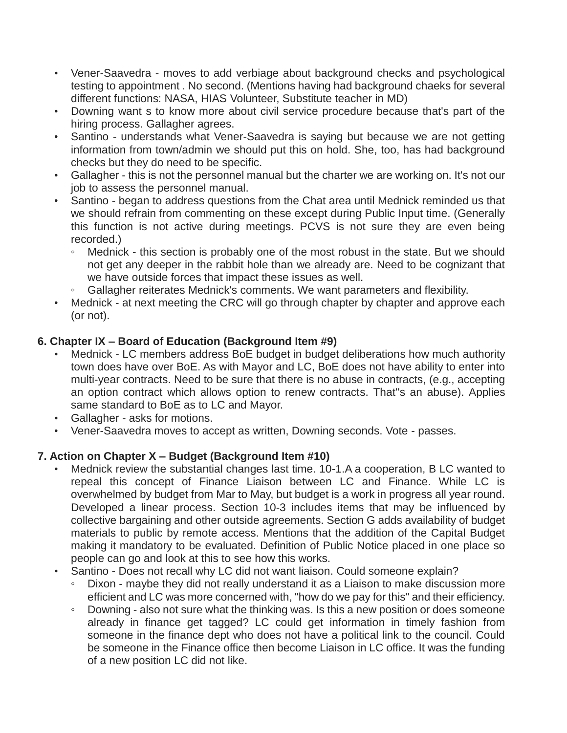- Vener-Saavedra moves to add verbiage about background checks and psychological testing to appointment . No second. (Mentions having had background chaeks for several different functions: NASA, HIAS Volunteer, Substitute teacher in MD)
- Downing want s to know more about civil service procedure because that's part of the hiring process. Gallagher agrees.
- Santino understands what Vener-Saavedra is saying but because we are not getting information from town/admin we should put this on hold. She, too, has had background checks but they do need to be specific.
- Gallagher this is not the personnel manual but the charter we are working on. It's not our job to assess the personnel manual.
- Santino began to address questions from the Chat area until Mednick reminded us that we should refrain from commenting on these except during Public Input time. (Generally this function is not active during meetings. PCVS is not sure they are even being recorded.)
	- Mednick this section is probably one of the most robust in the state. But we should not get any deeper in the rabbit hole than we already are. Need to be cognizant that we have outside forces that impact these issues as well.
	- Gallagher reiterates Mednick's comments. We want parameters and flexibility.
- Mednick at next meeting the CRC will go through chapter by chapter and approve each (or not).

# **6. Chapter IX – Board of Education (Background Item #9)**

- Mednick LC members address BoE budget in budget deliberations how much authority town does have over BoE. As with Mayor and LC, BoE does not have ability to enter into multi-year contracts. Need to be sure that there is no abuse in contracts, (e.g., accepting an option contract which allows option to renew contracts. That''s an abuse). Applies same standard to BoE as to LC and Mayor.
- Gallagher asks for motions.
- Vener-Saavedra moves to accept as written, Downing seconds. Vote passes.

# **7. Action on Chapter X – Budget (Background Item #10)**

- Mednick review the substantial changes last time. 10-1.A a cooperation, B LC wanted to repeal this concept of Finance Liaison between LC and Finance. While LC is overwhelmed by budget from Mar to May, but budget is a work in progress all year round. Developed a linear process. Section 10-3 includes items that may be influenced by collective bargaining and other outside agreements. Section G adds availability of budget materials to public by remote access. Mentions that the addition of the Capital Budget making it mandatory to be evaluated. Definition of Public Notice placed in one place so people can go and look at this to see how this works.
- Santino Does not recall why LC did not want liaison. Could someone explain?
	- Dixon maybe they did not really understand it as a Liaison to make discussion more efficient and LC was more concerned with, "how do we pay for this" and their efficiency.
	- Downing also not sure what the thinking was. Is this a new position or does someone already in finance get tagged? LC could get information in timely fashion from someone in the finance dept who does not have a political link to the council. Could be someone in the Finance office then become Liaison in LC office. It was the funding of a new position LC did not like.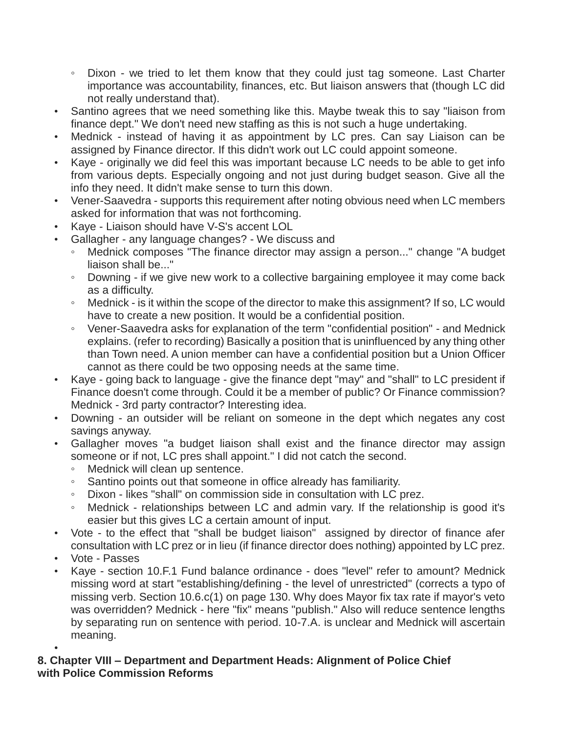- Dixon we tried to let them know that they could just tag someone. Last Charter importance was accountability, finances, etc. But liaison answers that (though LC did not really understand that).
- Santino agrees that we need something like this. Maybe tweak this to say "liaison from finance dept." We don't need new staffing as this is not such a huge undertaking.
- Mednick instead of having it as appointment by LC pres. Can say Liaison can be assigned by Finance director. If this didn't work out LC could appoint someone.
- Kaye originally we did feel this was important because LC needs to be able to get info from various depts. Especially ongoing and not just during budget season. Give all the info they need. It didn't make sense to turn this down.
- Vener-Saavedra supports this requirement after noting obvious need when LC members asked for information that was not forthcoming.
- Kaye Liaison should have V-S's accent LOL
- Gallagher any language changes? We discuss and
	- Mednick composes "The finance director may assign a person..." change "A budget liaison shall be..."
	- Downing if we give new work to a collective bargaining employee it may come back as a difficulty.
	- Mednick is it within the scope of the director to make this assignment? If so, LC would have to create a new position. It would be a confidential position.
	- Vener-Saavedra asks for explanation of the term "confidential position" and Mednick explains. (refer to recording) Basically a position that is uninfluenced by any thing other than Town need. A union member can have a confidential position but a Union Officer cannot as there could be two opposing needs at the same time.
- Kaye going back to language give the finance dept "may" and "shall" to LC president if Finance doesn't come through. Could it be a member of public? Or Finance commission? Mednick - 3rd party contractor? Interesting idea.
- Downing an outsider will be reliant on someone in the dept which negates any cost savings anyway.
- Gallagher moves "a budget liaison shall exist and the finance director may assign someone or if not, LC pres shall appoint." I did not catch the second.
	- Mednick will clean up sentence.
	- Santino points out that someone in office already has familiarity.
	- Dixon likes "shall" on commission side in consultation with LC prez.
	- Mednick relationships between LC and admin vary. If the relationship is good it's easier but this gives LC a certain amount of input.
- Vote to the effect that "shall be budget liaison" assigned by director of finance afer consultation with LC prez or in lieu (if finance director does nothing) appointed by LC prez.
- Vote Passes
- Kaye section 10.F.1 Fund balance ordinance does "level" refer to amount? Mednick missing word at start "establishing/defining - the level of unrestricted" (corrects a typo of missing verb. Section 10.6.c(1) on page 130. Why does Mayor fix tax rate if mayor's veto was overridden? Mednick - here "fix" means "publish." Also will reduce sentence lengths by separating run on sentence with period. 10-7.A. is unclear and Mednick will ascertain meaning.

#### • **8. Chapter VIII – Department and Department Heads: Alignment of Police Chief with Police Commission Reforms**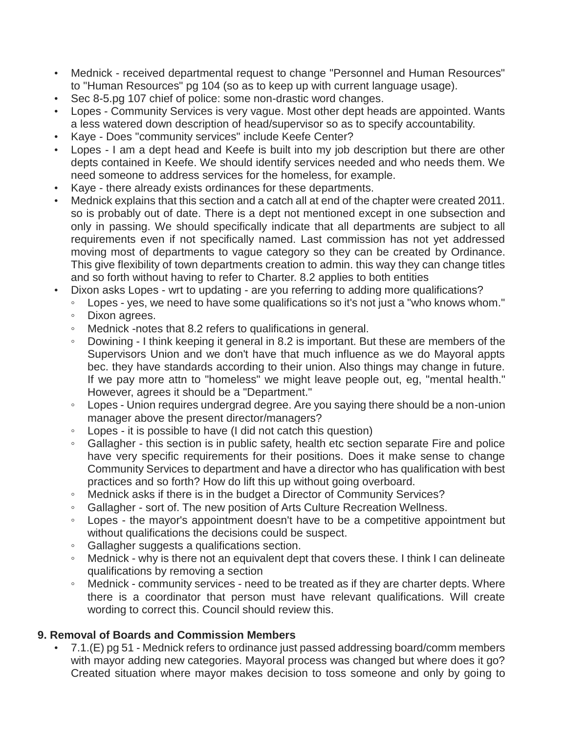- Mednick received departmental request to change "Personnel and Human Resources" to "Human Resources" pg 104 (so as to keep up with current language usage).
- Sec 8-5.pg 107 chief of police: some non-drastic word changes.
- Lopes Community Services is very vague. Most other dept heads are appointed. Wants a less watered down description of head/supervisor so as to specify accountability.
- Kaye Does "community services" include Keefe Center?
- Lopes I am a dept head and Keefe is built into my job description but there are other depts contained in Keefe. We should identify services needed and who needs them. We need someone to address services for the homeless, for example.
- Kaye there already exists ordinances for these departments.
- Mednick explains that this section and a catch all at end of the chapter were created 2011. so is probably out of date. There is a dept not mentioned except in one subsection and only in passing. We should specifically indicate that all departments are subject to all requirements even if not specifically named. Last commission has not yet addressed moving most of departments to vague category so they can be created by Ordinance. This give flexibility of town departments creation to admin. this way they can change titles and so forth without having to refer to Charter. 8.2 applies to both entities
- Dixon asks Lopes wrt to updating are you referring to adding more qualifications?
	- Lopes yes, we need to have some qualifications so it's not just a "who knows whom." ◦ Dixon agrees.
	- Mednick -notes that 8.2 refers to qualifications in general.
	- Dowining I think keeping it general in 8.2 is important. But these are members of the Supervisors Union and we don't have that much influence as we do Mayoral appts bec. they have standards according to their union. Also things may change in future. If we pay more attn to "homeless" we might leave people out, eg, "mental health." However, agrees it should be a "Department."
	- Lopes Union requires undergrad degree. Are you saying there should be a non-union manager above the present director/managers?
	- Lopes it is possible to have (I did not catch this question)
	- Gallagher this section is in public safety, health etc section separate Fire and police have very specific requirements for their positions. Does it make sense to change Community Services to department and have a director who has qualification with best practices and so forth? How do lift this up without going overboard.
	- Mednick asks if there is in the budget a Director of Community Services?
	- Gallagher sort of. The new position of Arts Culture Recreation Wellness.
	- Lopes the mayor's appointment doesn't have to be a competitive appointment but without qualifications the decisions could be suspect.
	- Gallagher suggests a qualifications section.
	- Mednick why is there not an equivalent dept that covers these. I think I can delineate qualifications by removing a section
	- Mednick community services need to be treated as if they are charter depts. Where there is a coordinator that person must have relevant qualifications. Will create wording to correct this. Council should review this.

### **9. Removal of Boards and Commission Members**

• 7.1.(E) pg 51 - Mednick refers to ordinance just passed addressing board/comm members with mayor adding new categories. Mayoral process was changed but where does it go? Created situation where mayor makes decision to toss someone and only by going to